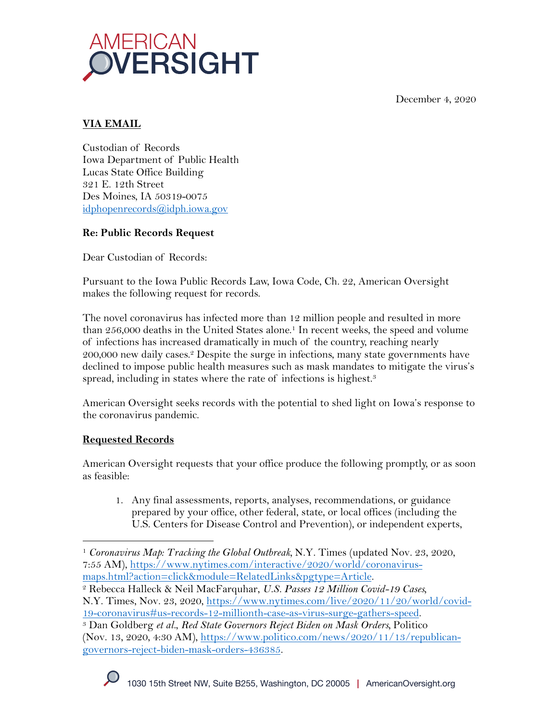December 4, 2020



# **VIA EMAIL**

Custodian of Records Iowa Department of Public Health Lucas State Office Building 321 E. 12th Street Des Moines, IA 50319-0075 idphopenrecords@idph.iowa.gov

## **Re: Public Records Request**

Dear Custodian of Records:

Pursuant to the Iowa Public Records Law, Iowa Code, Ch. 22, American Oversight makes the following request for records.

The novel coronavirus has infected more than 12 million people and resulted in more than 256,000 deaths in the United States alone.<sup>1</sup> In recent weeks, the speed and volume of infections has increased dramatically in much of the country, reaching nearly 200,000 new daily cases.2 Despite the surge in infections, many state governments have declined to impose public health measures such as mask mandates to mitigate the virus's spread, including in states where the rate of infections is highest.<sup>3</sup>

American Oversight seeks records with the potential to shed light on Iowa's response to the coronavirus pandemic.

## **Requested Records**

American Oversight requests that your office produce the following promptly, or as soon as feasible:

1. Any final assessments, reports, analyses, recommendations, or guidance prepared by your office, other federal, state, or local offices (including the U.S. Centers for Disease Control and Prevention), or independent experts,

<sup>1</sup> *Coronavirus Map: Tracking the Global Outbreak,* N.Y. Times (updated Nov. 23, 2020, 7:55 AM), https://www.nytimes.com/interactive/2020/world/coronavirus-

maps.html?action=click&module=RelatedLinks&pgtype=Article. 2 Rebecca Halleck & Neil MacFarquhar, *U.S. Passes 12 Million Covid-19 Cases,*  N.Y. Times, Nov. 23, 2020, https://www.nytimes.com/live/2020/11/20/world/covid-

<sup>19-</sup>coronavirus#us-records-12-millionth-case-as-virus-surge-gathers-speed. 3 Dan Goldberg *et al.*, *Red State Governors Reject Biden on Mask Orders,* Politico (Nov. 13, 2020, 4:30 AM), https://www.politico.com/news/2020/11/13/republicangovernors-reject-biden-mask-orders-436385.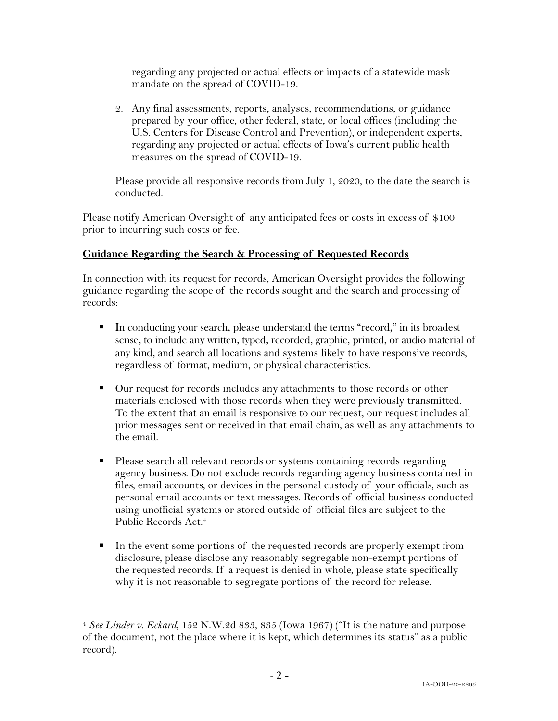regarding any projected or actual effects or impacts of a statewide mask mandate on the spread of COVID-19.

2. Any final assessments, reports, analyses, recommendations, or guidance prepared by your office, other federal, state, or local offices (including the U.S. Centers for Disease Control and Prevention), or independent experts, regarding any projected or actual effects of Iowa's current public health measures on the spread of COVID-19.

Please provide all responsive records from July 1, 2020, to the date the search is conducted.

Please notify American Oversight of any anticipated fees or costs in excess of \$100 prior to incurring such costs or fee.

### **Guidance Regarding the Search & Processing of Requested Records**

In connection with its request for records, American Oversight provides the following guidance regarding the scope of the records sought and the search and processing of records:

- § In conducting your search, please understand the terms "record," in its broadest sense, to include any written, typed, recorded, graphic, printed, or audio material of any kind, and search all locations and systems likely to have responsive records, regardless of format, medium, or physical characteristics.
- Our request for records includes any attachments to those records or other materials enclosed with those records when they were previously transmitted. To the extent that an email is responsive to our request, our request includes all prior messages sent or received in that email chain, as well as any attachments to the email.
- Please search all relevant records or systems containing records regarding agency business. Do not exclude records regarding agency business contained in files, email accounts, or devices in the personal custody of your officials, such as personal email accounts or text messages. Records of official business conducted using unofficial systems or stored outside of official files are subject to the Public Records Act. 4
- In the event some portions of the requested records are properly exempt from disclosure, please disclose any reasonably segregable non-exempt portions of the requested records. If a request is denied in whole, please state specifically why it is not reasonable to segregate portions of the record for release.

<sup>4</sup> *See Linder v. Eckard*, 152 N.W.2d 833, 835 (Iowa 1967) ("It is the nature and purpose of the document, not the place where it is kept, which determines its status" as a public record).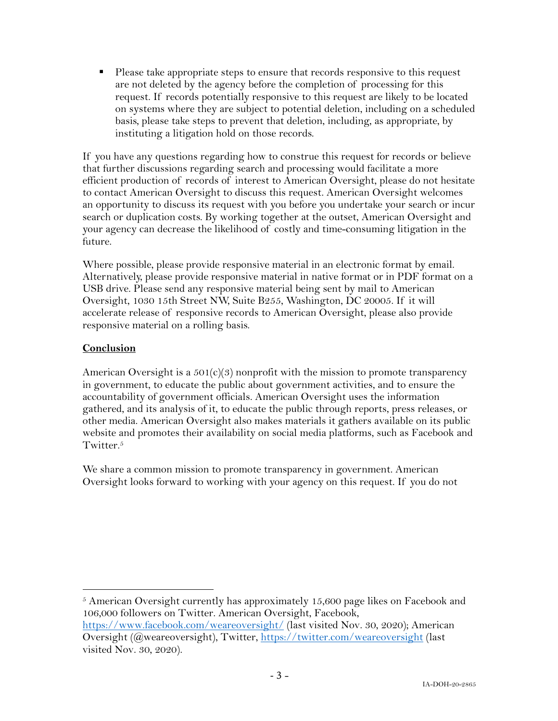■ Please take appropriate steps to ensure that records responsive to this request are not deleted by the agency before the completion of processing for this request. If records potentially responsive to this request are likely to be located on systems where they are subject to potential deletion, including on a scheduled basis, please take steps to prevent that deletion, including, as appropriate, by instituting a litigation hold on those records.

If you have any questions regarding how to construe this request for records or believe that further discussions regarding search and processing would facilitate a more efficient production of records of interest to American Oversight, please do not hesitate to contact American Oversight to discuss this request. American Oversight welcomes an opportunity to discuss its request with you before you undertake your search or incur search or duplication costs. By working together at the outset, American Oversight and your agency can decrease the likelihood of costly and time-consuming litigation in the future.

Where possible, please provide responsive material in an electronic format by email. Alternatively, please provide responsive material in native format or in PDF format on a USB drive. Please send any responsive material being sent by mail to American Oversight, 1030 15th Street NW, Suite B255, Washington, DC 20005. If it will accelerate release of responsive records to American Oversight, please also provide responsive material on a rolling basis.

### **Conclusion**

American Oversight is a  $501(c)(3)$  nonprofit with the mission to promote transparency in government, to educate the public about government activities, and to ensure the accountability of government officials. American Oversight uses the information gathered, and its analysis of it, to educate the public through reports, press releases, or other media. American Oversight also makes materials it gathers available on its public website and promotes their availability on social media platforms, such as Facebook and Twitter.<sup>5</sup>

We share a common mission to promote transparency in government. American Oversight looks forward to working with your agency on this request. If you do not

 $5$  American Oversight currently has approximately 15,600 page likes on Facebook and 106,000 followers on Twitter. American Oversight, Facebook, https://www.facebook.com/weareoversight/ (last visited Nov. 30, 2020); American

Oversight (@weareoversight), Twitter, https://twitter.com/weareoversight (last visited Nov. 30, 2020).